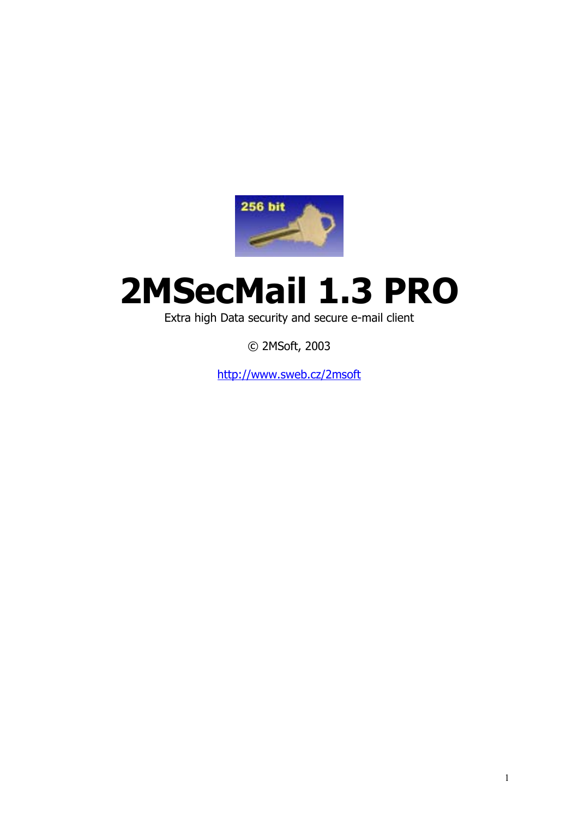

# **2MSecMail 1.3 PRO**

Extra high Data security and secure e-mail client

© 2MSoft, 2003

http://www.sweb.cz/2msoft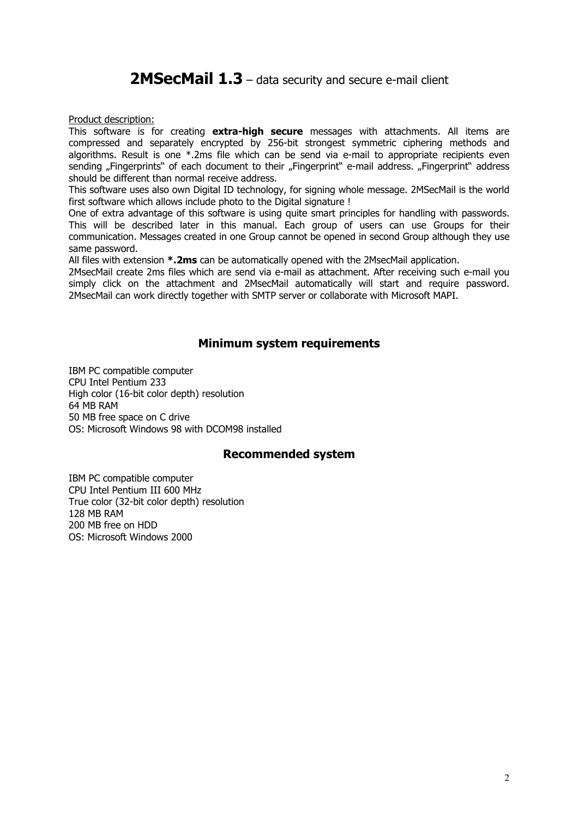# 2MSecMail 1.3 – data security and secure e-mail client

Product description:

This software is for creating **extra-high secure** messages with attachments. All items are compressed and separately encrypted by 256-bit strongest symmetric ciphering methods and algorithms. Result is one  $*$  2ms file which can be send via e-mail to appropriate recipients even sending "Fingerprints" of each document to their "Fingerprint" e-mail address. "Fingerprint" address should be different than normal receive address.

This software uses also own Digital ID technology, for signing whole message. 2MSecMail is the world first software which allows include photo to the Digital signature !

One of extra advantage of this software is using quite smart principles for handling with passwords. This will be described later in this manual. Each group of users can use Groups for their communication. Messages created in one Group cannot be opened in second Group although they use same password.

All files with extension **\*.2ms** can be automatically opened with the 2MsecMail application.

2MsecMail create 2ms files which are send via e-mail as attachment. After receiving such e-mail you simply click on the attachment and 2MsecMail automatically will start and require password. 2MsecMail can work directly together with SMTP server or collaborate with Microsoft MAPI.

#### **Minimum system requirements**

IBM PC compatible computer CPU Intel Pentium 233 High color (16-bit color depth) resolution 64 MB RAM 50 MB free space on C drive OS: Microsoft Windows 98 with DCOM98 installed

#### **Recommended system**

IBM PC compatible computer CPU Intel Pentium III 600 MHz True color (32-bit color depth) resolution 128 MB RAM 200 MB free on HDD OS: Microsoft Windows 2000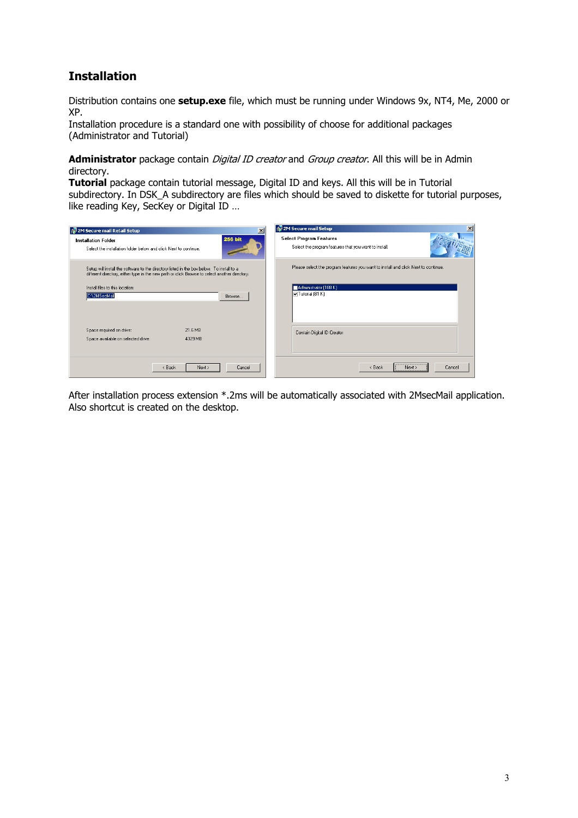## **Installation**

Distribution contains one **setup.exe** file, which must be running under Windows 9x, NT4, Me, 2000 or XP.

Installation procedure is a standard one with possibility of choose for additional packages (Administrator and Tutorial)

Administrator package contain *Digital ID creator* and *Group creator*. All this will be in Admin directory.

**Tutorial** package contain tutorial message, Digital ID and keys. All this will be in Tutorial subdirectory. In DSK\_A subdirectory are files which should be saved to diskette for tutorial purposes, like reading Key, SecKey or Digital ID ...

| 1월 2M Secure mail Retail Setup<br>$\vert x \vert$                                                                                                                                          | 12 2M Secure mail Setup<br>$\times$                                                     |
|--------------------------------------------------------------------------------------------------------------------------------------------------------------------------------------------|-----------------------------------------------------------------------------------------|
| <b>256 bit</b><br>Installation Folder<br>Select the installation folder below and click Next to continue.                                                                                  | <b>Select Program Features</b><br>Select the program features that you want to install. |
| Setup will install the software to the directory listed in the box below. To install to a<br>different directory, either type in the new path or click Browse to select another directory. | Please select the program features you want to install and click Next to continue.      |
| Install files to this location:<br>C:\2MSecMail<br>Browse                                                                                                                                  | Administrator (188 K)<br>$\nabla$ Tutorial (81 K)                                       |
|                                                                                                                                                                                            |                                                                                         |
| 21.6 MB<br>Space required on drive:<br>Space available on selected drive:<br>4329 MB                                                                                                       | Contain Digital ID Creator                                                              |
| < Back<br>Cancel<br>Next                                                                                                                                                                   | Cancel<br>< Back<br>Next                                                                |

After installation process extension \*.2ms will be automatically associated with 2MsecMail application. Also shortcut is created on the desktop.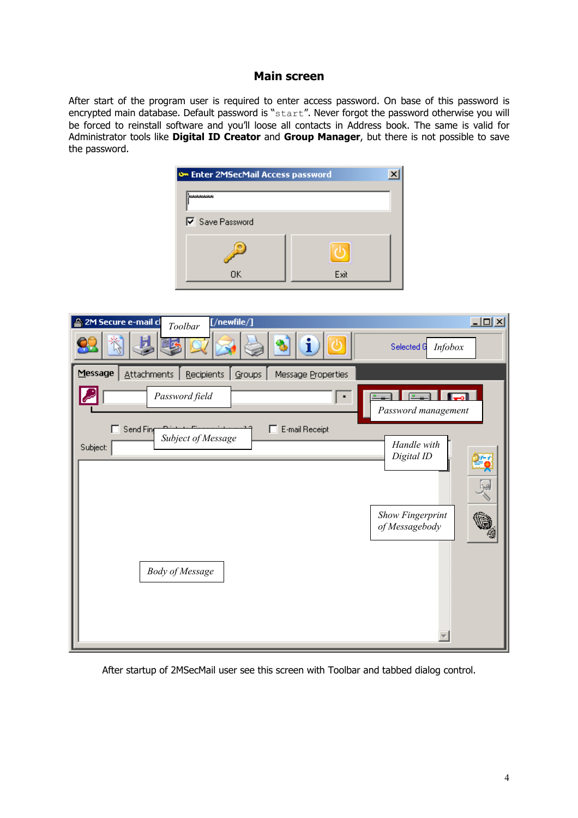#### **Main screen**

After start of the program user is required to enter access password. On base of this password is encrypted main database. Default password is "start". Never forgot the password otherwise you will be forced to reinstall software and you'll loose all contacts in Address book. The same is valid for Administrator tools like **Digital ID Creator** and **Group Manager**, but there is not possible to save the password.

| O Enter 2MSecMail Access password |      |
|-----------------------------------|------|
| <b>Jototototok</b>                |      |
| <b>▽</b> Save Password            |      |
|                                   |      |
| ΟK                                | Exit |

| $[$ /newfile/ $]$<br>2M Secure e-mail cl<br>Toolbar<br>i<br>Νğ                                                                                                           | $\Box$ D $\times$<br>Selected G<br>Infobox                      |
|--------------------------------------------------------------------------------------------------------------------------------------------------------------------------|-----------------------------------------------------------------|
| Message<br><b>Attachments</b><br>Recipients<br>Message Properties<br>Groups<br>Password field<br>×<br>п<br>Send Fing<br>E-mail Receipt<br>Subject of Message<br>Subject: | $\sim$ $-1$<br>Password management<br>Handle with<br>Digital ID |
|                                                                                                                                                                          | Show Fingerprint<br>of Messagebody                              |
| <b>Body of Message</b>                                                                                                                                                   |                                                                 |

After startup of 2MSecMail user see this screen with Toolbar and tabbed dialog control.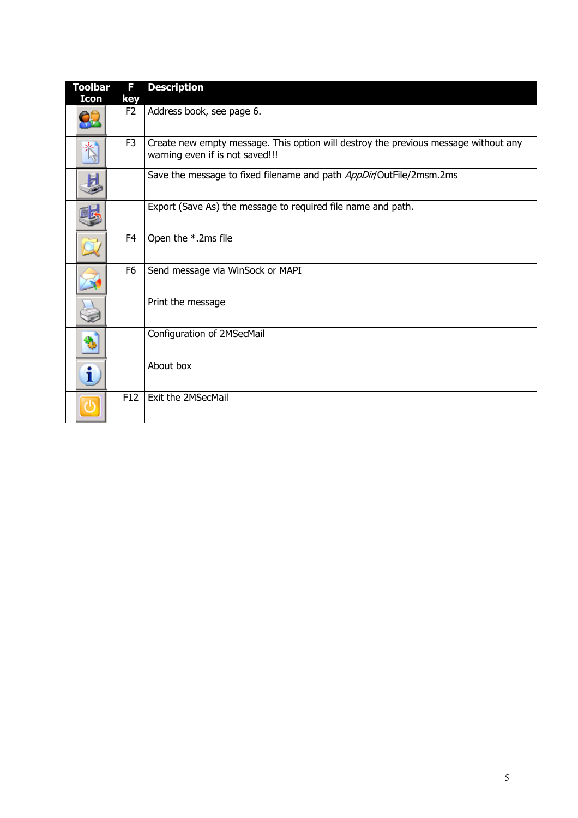| <b>Toolbar</b><br>Icon | F<br>key       | <b>Description</b>                                                                                                     |
|------------------------|----------------|------------------------------------------------------------------------------------------------------------------------|
|                        | F <sub>2</sub> | Address book, see page 6.                                                                                              |
|                        | F <sub>3</sub> | Create new empty message. This option will destroy the previous message without any<br>warning even if is not saved!!! |
|                        |                | Save the message to fixed filename and path AppDir/OutFile/2msm.2ms                                                    |
|                        |                | Export (Save As) the message to required file name and path.                                                           |
|                        | F4             | Open the *.2ms file                                                                                                    |
|                        | F <sub>6</sub> | Send message via WinSock or MAPI                                                                                       |
|                        |                | Print the message                                                                                                      |
|                        |                | Configuration of 2MSecMail                                                                                             |
|                        |                | About box                                                                                                              |
|                        | F12            | Exit the 2MSecMail                                                                                                     |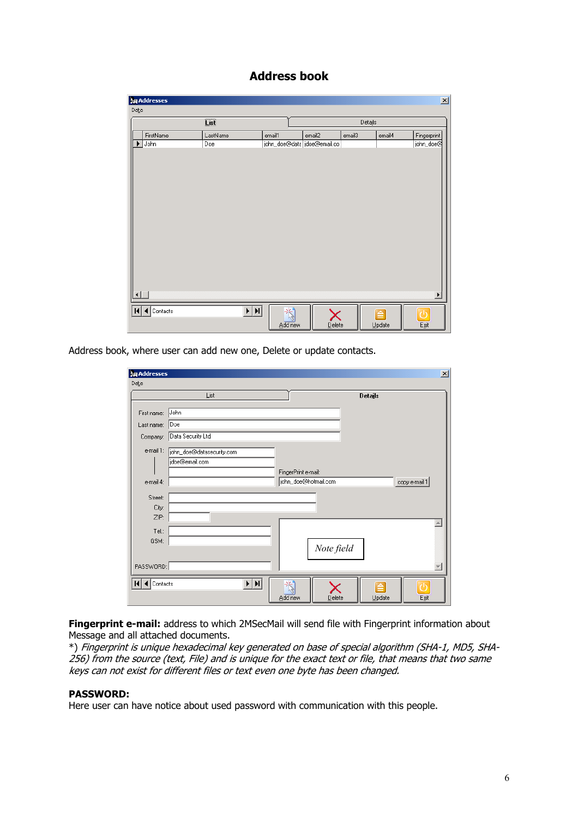### **Address book**

|              | <b>編 Addresses</b> |                    |                            |        |         |              | $\overline{\mathbf{x}}$ |
|--------------|--------------------|--------------------|----------------------------|--------|---------|--------------|-------------------------|
| Data         |                    |                    |                            |        |         |              |                         |
|              |                    | $\underline{\Box}$ |                            |        | Details |              |                         |
|              | FirstName          | LastName           | email1                     | email2 | email3  | email4       | Fingerprint             |
| ▶            | John               | Doe                | john_doe@data doe@email.co |        |         |              | john_doe@               |
|              |                    |                    |                            |        |         |              |                         |
|              |                    |                    |                            |        |         |              |                         |
|              |                    |                    |                            |        |         |              |                         |
|              |                    |                    |                            |        |         |              |                         |
|              |                    |                    |                            |        |         |              |                         |
|              |                    |                    |                            |        |         |              |                         |
|              |                    |                    |                            |        |         |              |                         |
|              |                    |                    |                            |        |         |              |                         |
|              |                    |                    |                            |        |         |              |                         |
|              |                    |                    |                            |        |         |              |                         |
|              |                    |                    |                            |        |         |              |                         |
|              |                    |                    |                            |        |         |              |                         |
|              |                    |                    |                            |        |         |              |                         |
|              |                    |                    |                            |        |         |              |                         |
|              |                    |                    |                            |        |         |              | $\blacktriangleright$   |
| $\mathbf{H}$ | ◀ Contacts         | $\overline{H}$     | 卷                          |        |         | $\triangleq$ | 7Ŋ                      |
|              |                    |                    | Add new                    | Delete |         | $Update$     | Egit                    |
|              |                    |                    |                            |        |         |              |                         |

Address book, where user can add new one, Delete or update contacts.

| <b>論 Addresses</b> |                           |                      |                |        | $\vert x \vert$ |
|--------------------|---------------------------|----------------------|----------------|--------|-----------------|
| Data               |                           |                      |                |        |                 |
|                    | List                      |                      | <b>Details</b> |        |                 |
|                    |                           |                      |                |        |                 |
| First name:        | John                      |                      |                |        |                 |
| Last name:         | Doe                       |                      |                |        |                 |
| Company:           | Data Security Ltd.        |                      |                |        |                 |
| e-mail 1:          | john_doe@datasecurity.com |                      |                |        |                 |
|                    | jdoe@email.com            |                      |                |        |                 |
|                    |                           | FingerPrint e-mail:  |                |        |                 |
| e-mail 4:          |                           | john_doe@hotmail.com |                |        | copy e-mail 1   |
|                    |                           |                      |                |        |                 |
| <b>Street:</b>     |                           |                      |                |        |                 |
| City:              |                           |                      |                |        |                 |
| ZIP:               |                           |                      |                |        |                 |
| Tel.:              |                           |                      |                |        |                 |
| GSM:               |                           |                      |                |        |                 |
|                    |                           |                      | Note field     |        |                 |
| PASSWORD:          |                           |                      |                |        |                 |
|                    |                           |                      |                |        |                 |
| Contacts           | ▶│▶∣                      | эķ.                  |                |        |                 |
|                    |                           | Add new              | $D$ elete      | Update | Exit            |
|                    |                           |                      |                |        |                 |

**Fingerprint e-mail:** address to which 2MSecMail will send file with Fingerprint information about Message and all attached documents.

\*) Fingerprint is unique hexadecimal key generated on base of special algorithm (SHA-1, MD5, SHA-256) from the source (text, File) and is unique for the exact text or file, that means that two same keys can not exist for different files or text even one byte has been changed.

#### **PASSWORD:**

Here user can have notice about used password with communication with this people.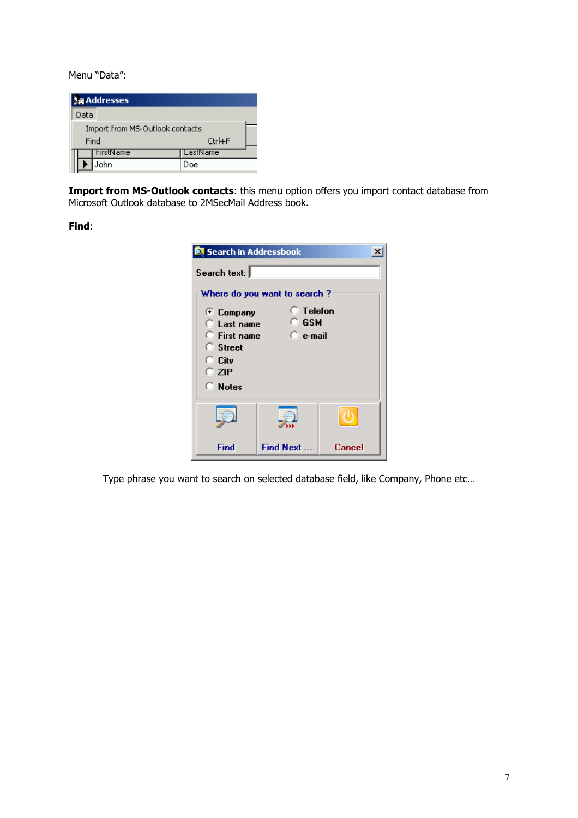Menu "Data":

|      | <b>词 Addresses</b>              |          |
|------|---------------------------------|----------|
| Data |                                 |          |
|      | Import from MS-Outlook contacts |          |
|      | Find                            | Ctrl+F   |
|      | FirstName                       | LastName |
|      | ohn                             | Doe      |

**Import from MS-Outlook contacts**: this menu option offers you import contact database from Microsoft Outlook database to 2MSecMail Address book.

**Find**:

| <b>E</b> Search in Addressbook                                                                   |                              |        |  |
|--------------------------------------------------------------------------------------------------|------------------------------|--------|--|
| Search text:                                                                                     |                              |        |  |
|                                                                                                  | Where do you want to search? |        |  |
| $\Box$ Telefon<br>C Company<br>O GSM<br>$\Box$ Last name<br><b>C</b> First name<br>$\Box$ e-mail |                              |        |  |
| <b>C</b> Street<br>○ Citv                                                                        |                              |        |  |
| C ZIP                                                                                            |                              |        |  |
| <b>C</b> Notes                                                                                   |                              |        |  |
|                                                                                                  |                              |        |  |
| Find                                                                                             | Find Next                    | Cancel |  |

Type phrase you want to search on selected database field, like Company, Phone etc…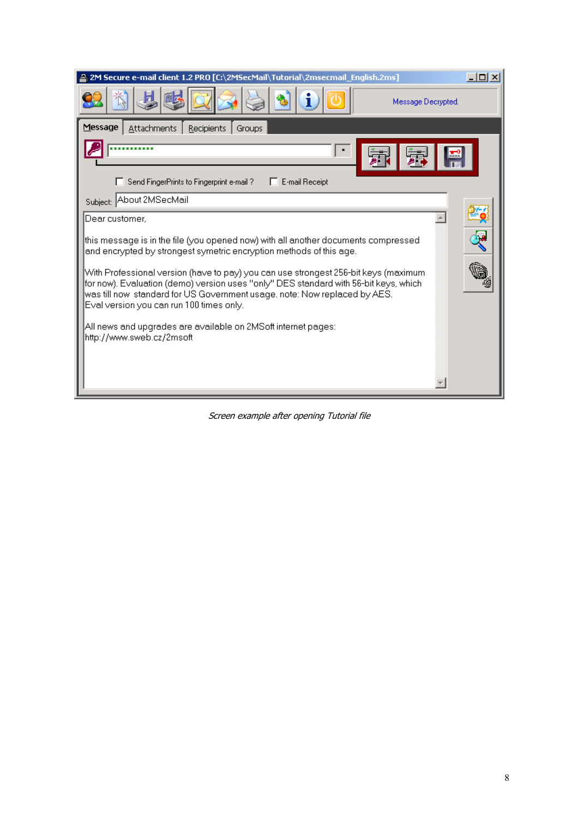| 2M Secure e-mail client 1.2 PRO [C:\2MSecMail\Tutorial\2msecmail_English.2ms]<br>$ \Box$ $\times$                                                                                                                                                                                                    |
|------------------------------------------------------------------------------------------------------------------------------------------------------------------------------------------------------------------------------------------------------------------------------------------------------|
| Message Decrypted.                                                                                                                                                                                                                                                                                   |
| Message<br>Attachments<br>Recipients<br>Groups                                                                                                                                                                                                                                                       |
| *********                                                                                                                                                                                                                                                                                            |
| E-mail Receipt<br>Send FingerPrints to Fingerprint e-mail ?                                                                                                                                                                                                                                          |
| Subject: About 2MSecMail                                                                                                                                                                                                                                                                             |
| Dear customer.                                                                                                                                                                                                                                                                                       |
| this message is in the file (you opened now) with all another documents compressed<br>and encrypted by strongest symetric encryption methods of this age.                                                                                                                                            |
| With Professional version (have to pay) you can use strongest 256-bit keys (maximum<br>for now). Evaluation (demo) version uses "only" DES standard with 56-bit keys, which<br>was till now standard for US Government usage, note: Now replaced by AES.<br>Eval version you can run 100 times only. |
| All news and upgrades are available on 2MSoft internet pages:<br>http://www.sweb.cz/2msoft                                                                                                                                                                                                           |
|                                                                                                                                                                                                                                                                                                      |
|                                                                                                                                                                                                                                                                                                      |

Screen example after opening Tutorial file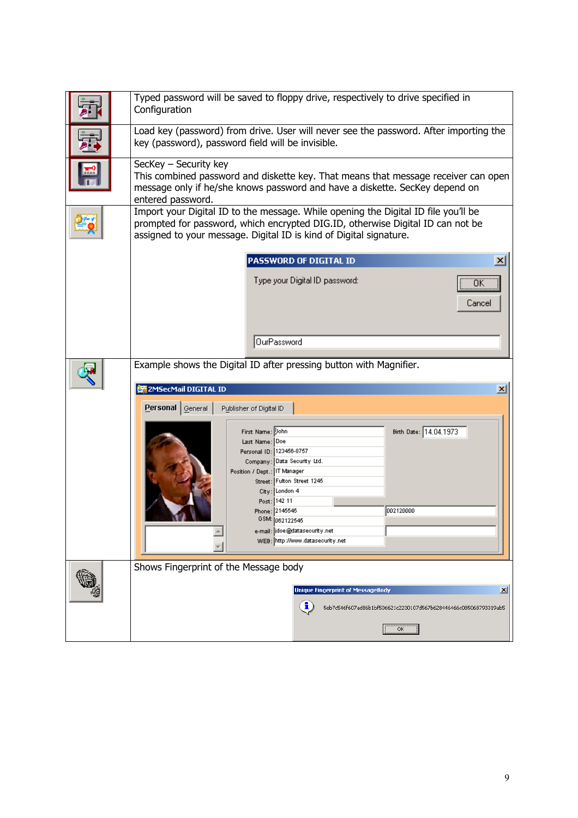| Typed password will be saved to floppy drive, respectively to drive specified in<br>Configuration                                                                                                                                                                                                                                                                                                                                         |
|-------------------------------------------------------------------------------------------------------------------------------------------------------------------------------------------------------------------------------------------------------------------------------------------------------------------------------------------------------------------------------------------------------------------------------------------|
| Load key (password) from drive. User will never see the password. After importing the<br>key (password), password field will be invisible.                                                                                                                                                                                                                                                                                                |
| SecKey - Security key<br>This combined password and diskette key. That means that message receiver can open<br>message only if he/she knows password and have a diskette. SecKey depend on<br>entered password.                                                                                                                                                                                                                           |
| Import your Digital ID to the message. While opening the Digital ID file you'll be<br>prompted for password, which encrypted DIG.ID, otherwise Digital ID can not be<br>assigned to your message. Digital ID is kind of Digital signature.                                                                                                                                                                                                |
| PASSWORD OF DIGITAL ID<br>$\vert x \vert$                                                                                                                                                                                                                                                                                                                                                                                                 |
| Type your Digital ID password:<br>ΟK<br>Cancel                                                                                                                                                                                                                                                                                                                                                                                            |
| OurPassword                                                                                                                                                                                                                                                                                                                                                                                                                               |
| Example shows the Digital ID after pressing button with Magnifier.                                                                                                                                                                                                                                                                                                                                                                        |
|                                                                                                                                                                                                                                                                                                                                                                                                                                           |
| 器2MSecMail DIGITAL ID<br>$\vert x \vert$<br>Personal General<br>Publisher of Digital ID<br>Birth Date: 14.04.1973<br>First Name: Vohn<br>Last Name: Doe<br>Personal ID: 123466-8757<br>Company: Data Security Ltd.<br>Position / Dept.: IT Manager<br>Street: Fulton Street 1245<br>City: London 4<br>Post: 142 11<br>002120000<br>Phone: 2145545<br>GSM: 062122545<br>e-mail:  idoe@datasecurity.net<br>WEB: http://www.datasecurity.net |
| Shows Fingerprint of the Message body                                                                                                                                                                                                                                                                                                                                                                                                     |
| <b>Unique Fingerprint of MessageBody</b><br>$\mathbf{x}$<br>i<br>5eb7c546f607ad86b1bf506621c2230107d567b628446466c085068793319ab5<br>OK                                                                                                                                                                                                                                                                                                   |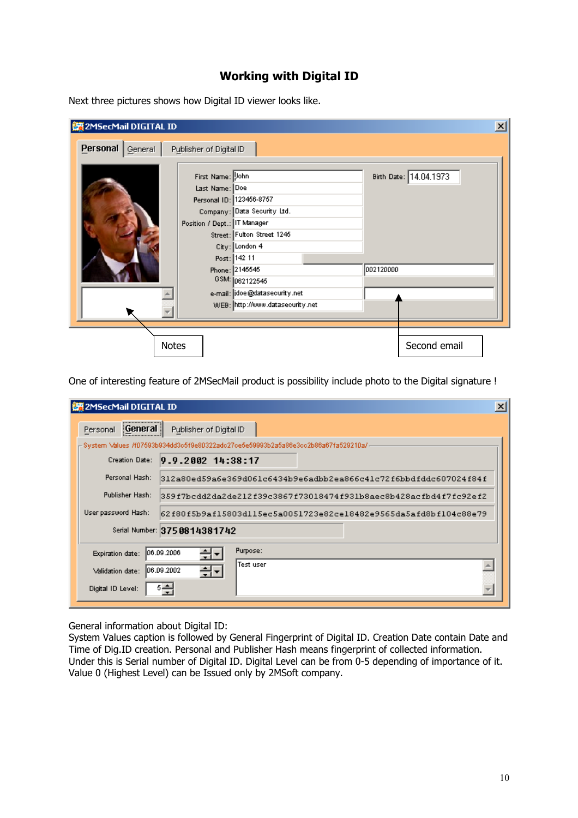## **Working with Digital ID**

Next three pictures shows how Digital ID viewer looks like.

| 接2MSecMail DIGITAL ID |                         |                                                                                                                                                                                               |           |                        | $\vert x \vert$ |
|-----------------------|-------------------------|-----------------------------------------------------------------------------------------------------------------------------------------------------------------------------------------------|-----------|------------------------|-----------------|
| Personal<br>General   | Publisher of Digital ID |                                                                                                                                                                                               |           |                        |                 |
|                       |                         | First Name: Uohn<br>Last Name: Doe<br>Personal ID: 123456-8757<br>Company: Data Security Ltd.<br>Position / Dept.: IT Manager<br>Street: Fulton Street 1245<br>City: London 4<br>Post: 142 11 |           | Birth Date: 14.04.1973 |                 |
|                       |                         | Phone: 2145545<br>GSM: 062122545                                                                                                                                                              | 002120000 |                        |                 |
|                       |                         | e-mail: idoe@datasecurity.net<br>WEB: http://www.datasecurity.net                                                                                                                             |           |                        |                 |
|                       |                         |                                                                                                                                                                                               |           |                        |                 |
|                       | <b>Notes</b>            |                                                                                                                                                                                               |           | Second email           |                 |

One of interesting feature of 2MSecMail product is possibility include photo to the Digital signature !

| ※2MSecMail DIGITAL ID                                                                   | $\mathbf{x}$ |
|-----------------------------------------------------------------------------------------|--------------|
| $ \text{General} $<br>Publisher of Digital ID<br>Personal                               |              |
| – System \/alues /f07593b934dd3c5f9e80322adc27ce5e59993b2a5a86e3cc2b86a67fa529210a/-    |              |
| $9.9.2002$ $14:38:17$<br><b>Creation Date:</b>                                          |              |
| Personal Hash:<br>312a80ed59a6e369d061c6434b9e6adbb2ea866c41c72f6bbdfddc607024f84f      |              |
| Publisher Hash:<br>359f7bcdd2da2de212f39c3867f73018474f931b8aec8b428acfbd4f7fc92ef2     |              |
| User password Hash:<br>62f80f5b9af15803dll5ec5a0051723e82ce18482e9565da5afd8bf104c88e79 |              |
| Serial Number: 13750814381742                                                           |              |
| Purpose:<br>06.09.2006<br>÷ا÷<br>Expiration date:                                       |              |
| lTest user.<br>÷ا÷<br>106.09.2002<br>Validation date:                                   |              |
| اك ق<br>Digital ID Level:                                                               |              |

General information about Digital ID:

System Values caption is followed by General Fingerprint of Digital ID. Creation Date contain Date and Time of Dig.ID creation. Personal and Publisher Hash means fingerprint of collected information. Under this is Serial number of Digital ID. Digital Level can be from 0-5 depending of importance of it. Value 0 (Highest Level) can be Issued only by 2MSoft company.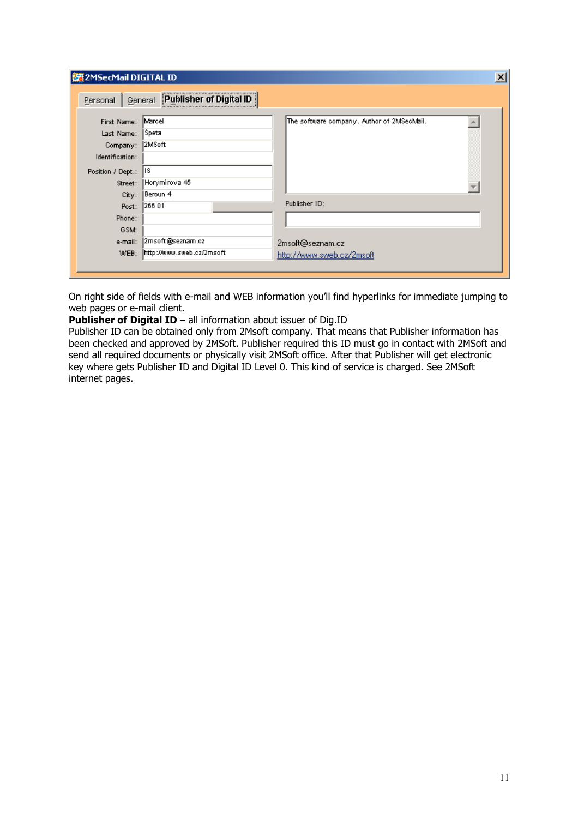| <b>護2MSecMail DIGITAL ID</b>                                                             |                                                                      |                                                                | $\vert x \vert$ |
|------------------------------------------------------------------------------------------|----------------------------------------------------------------------|----------------------------------------------------------------|-----------------|
| Personal                                                                                 | Publisher of Digital ID<br>General                                   |                                                                |                 |
| First Name:<br>Last Name:<br>Company:<br>Identification:<br>Position / Dept.:<br>Street: | Marcel<br> Speta<br> 2MSoft <br>lis<br>Horymírova 45                 | The software company. Author of 2MSecMail.                     |                 |
| City:<br>Post:<br>Phone:<br>GSM:<br>e-mail:<br>WEB:                                      | Beroun 4<br>1266 01<br>2msoft@seznam.cz<br>http://www.sweb.cz/2msoft | Publisher ID:<br>2msoft@seznam.cz<br>http://www.sweb.cz/2msoft |                 |

On right side of fields with e-mail and WEB information you'll find hyperlinks for immediate jumping to web pages or e-mail client.

**Publisher of Digital ID** – all information about issuer of Dig.ID

Publisher ID can be obtained only from 2Msoft company. That means that Publisher information has been checked and approved by 2MSoft. Publisher required this ID must go in contact with 2MSoft and send all required documents or physically visit 2MSoft office. After that Publisher will get electronic key where gets Publisher ID and Digital ID Level 0. This kind of service is charged. See 2MSoft internet pages.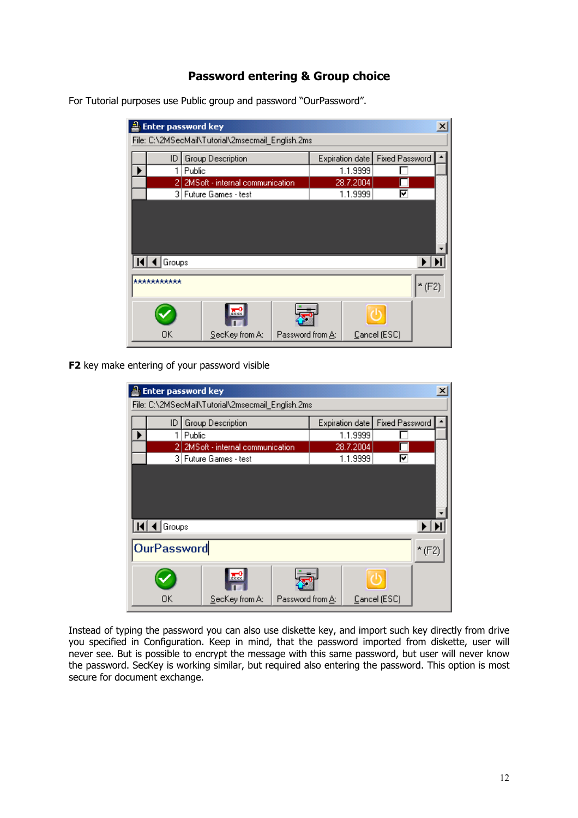## **Password entering & Group choice**

**A** Enter password key  $x$ File: C:\2MSecMail\Tutorial\2msecmail\_English.2ms  $\blacktriangle$ ID Group Description Expiration date | Fixed Password 1.1.9999  $1$  Public П ▶ 2 2MS oft - internal communication 28.7.2004 г 3 Future Games - test  $1.1.9999$ 罓  $H$  4 Groups  $\blacktriangleright$   $\blacktriangleright$   $\blacktriangleright$ \*\*\*\*\*\*\*\*\*\*\*\*  $*(F2)$ ŕ١, Cancel (ESC) **OK** SecKey from A: Password from A:

For Tutorial purposes use Public group and password "OurPassword".

**F2** key make entering of your password visible

| <b>Enter password key</b>                         |        |                                 |                  |  |                        |                       |          |  |
|---------------------------------------------------|--------|---------------------------------|------------------|--|------------------------|-----------------------|----------|--|
| File: C:\2MSecMail\Tutorial\2msecmail_English.2ms |        |                                 |                  |  |                        |                       |          |  |
| ID                                                |        | Group Description               |                  |  | <b>Expiration date</b> | <b>Fixed Password</b> |          |  |
|                                                   | Public |                                 |                  |  | 1.1.9999               |                       |          |  |
|                                                   | 21     | 2MSoft - internal communication |                  |  | 28.7.2004              |                       |          |  |
|                                                   |        | 3 Future Games - test           |                  |  | 1.1.9999               | ঢ়                    |          |  |
|                                                   |        |                                 |                  |  |                        |                       |          |  |
|                                                   |        |                                 |                  |  |                        |                       |          |  |
|                                                   |        |                                 |                  |  |                        |                       |          |  |
| $\blacksquare$ Groups                             |        |                                 |                  |  |                        |                       |          |  |
| <b>OurPassword</b>                                |        |                                 |                  |  |                        |                       | $*$ (F2) |  |
|                                                   |        | $x \times x$                    |                  |  |                        |                       |          |  |
| OΚ                                                |        | SecKey from A:                  | Password from A: |  |                        | Cancel (ESC)          |          |  |

Instead of typing the password you can also use diskette key, and import such key directly from drive you specified in Configuration. Keep in mind, that the password imported from diskette, user will never see. But is possible to encrypt the message with this same password, but user will never know the password. SecKey is working similar, but required also entering the password. This option is most secure for document exchange.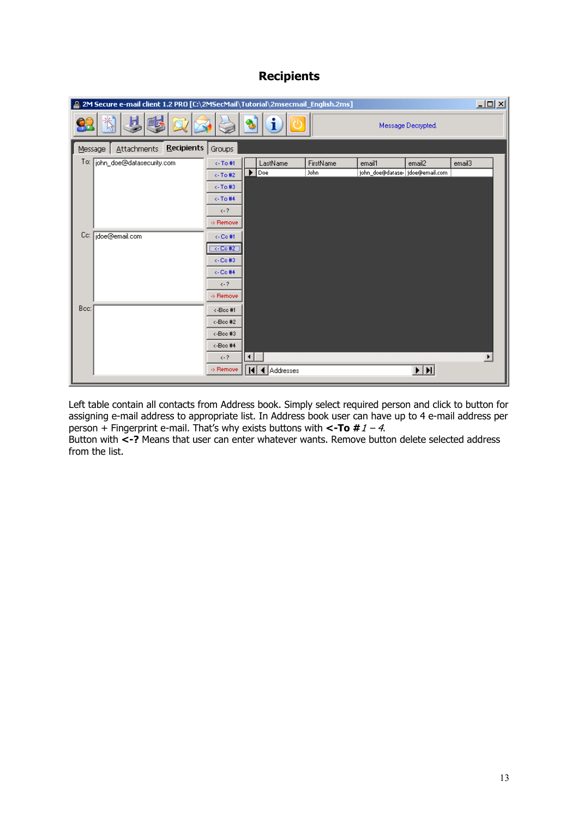# **Recipients**

| Message Decrypted.<br><b>Recipients</b><br>Attachments<br>Groups<br>Message<br>To:<br> john_doe@datasecurity.com<br>FirstName<br><-To#1<br>email3<br>LastName<br>email1<br>email2<br>john_doe@dataser doe@email.com<br>John<br>$\blacktriangleright$ Doe<br>$\leftarrow$ To #2<br>$\leftarrow$ To #3<br><-To#4<br>$\leftarrow$ ?<br>>> Remove<br>Cc:<br>jdoe@email.com<br>$\leftarrow$ Co #1<br>$\xi$ -Co#2<br>$\leftarrow$ Co #3<br>$\leftarrow$ Co #4<br>$\leftarrow$ ?<br>-> Remove<br>Bcc:<br><-Bec #1<br><-Bcc #2<br><-Boo#3<br><-Boo#4<br>$\blacktriangleright$<br>$\left  \cdot \right $<br>$\leftarrow$ ?<br>$\overline{\mathbf{H}}$<br>◀ Addresses<br>-> Remove<br>КI | [2M Secure e-mail client 1.2 PRO [C:\2MSecMail\Tutorial\2msecmail_English.2ms] |  |  | $\Box$ D $\Box$ |
|--------------------------------------------------------------------------------------------------------------------------------------------------------------------------------------------------------------------------------------------------------------------------------------------------------------------------------------------------------------------------------------------------------------------------------------------------------------------------------------------------------------------------------------------------------------------------------------------------------------------------------------------------------------------------------|--------------------------------------------------------------------------------|--|--|-----------------|
|                                                                                                                                                                                                                                                                                                                                                                                                                                                                                                                                                                                                                                                                                |                                                                                |  |  |                 |
|                                                                                                                                                                                                                                                                                                                                                                                                                                                                                                                                                                                                                                                                                |                                                                                |  |  |                 |
|                                                                                                                                                                                                                                                                                                                                                                                                                                                                                                                                                                                                                                                                                |                                                                                |  |  |                 |
|                                                                                                                                                                                                                                                                                                                                                                                                                                                                                                                                                                                                                                                                                |                                                                                |  |  |                 |
|                                                                                                                                                                                                                                                                                                                                                                                                                                                                                                                                                                                                                                                                                |                                                                                |  |  |                 |
|                                                                                                                                                                                                                                                                                                                                                                                                                                                                                                                                                                                                                                                                                |                                                                                |  |  |                 |
|                                                                                                                                                                                                                                                                                                                                                                                                                                                                                                                                                                                                                                                                                |                                                                                |  |  |                 |
|                                                                                                                                                                                                                                                                                                                                                                                                                                                                                                                                                                                                                                                                                |                                                                                |  |  |                 |
|                                                                                                                                                                                                                                                                                                                                                                                                                                                                                                                                                                                                                                                                                |                                                                                |  |  |                 |
|                                                                                                                                                                                                                                                                                                                                                                                                                                                                                                                                                                                                                                                                                |                                                                                |  |  |                 |
|                                                                                                                                                                                                                                                                                                                                                                                                                                                                                                                                                                                                                                                                                |                                                                                |  |  |                 |
|                                                                                                                                                                                                                                                                                                                                                                                                                                                                                                                                                                                                                                                                                |                                                                                |  |  |                 |
|                                                                                                                                                                                                                                                                                                                                                                                                                                                                                                                                                                                                                                                                                |                                                                                |  |  |                 |
|                                                                                                                                                                                                                                                                                                                                                                                                                                                                                                                                                                                                                                                                                |                                                                                |  |  |                 |
|                                                                                                                                                                                                                                                                                                                                                                                                                                                                                                                                                                                                                                                                                |                                                                                |  |  |                 |
|                                                                                                                                                                                                                                                                                                                                                                                                                                                                                                                                                                                                                                                                                |                                                                                |  |  |                 |
|                                                                                                                                                                                                                                                                                                                                                                                                                                                                                                                                                                                                                                                                                |                                                                                |  |  |                 |
|                                                                                                                                                                                                                                                                                                                                                                                                                                                                                                                                                                                                                                                                                |                                                                                |  |  |                 |
|                                                                                                                                                                                                                                                                                                                                                                                                                                                                                                                                                                                                                                                                                |                                                                                |  |  |                 |
|                                                                                                                                                                                                                                                                                                                                                                                                                                                                                                                                                                                                                                                                                |                                                                                |  |  |                 |

Left table contain all contacts from Address book. Simply select required person and click to button for assigning e-mail address to appropriate list. In Address book user can have up to 4 e-mail address per person + Fingerprint e-mail. That's why exists buttons with **<-To #**1 – 4.

Button with **<-?** Means that user can enter whatever wants. Remove button delete selected address from the list.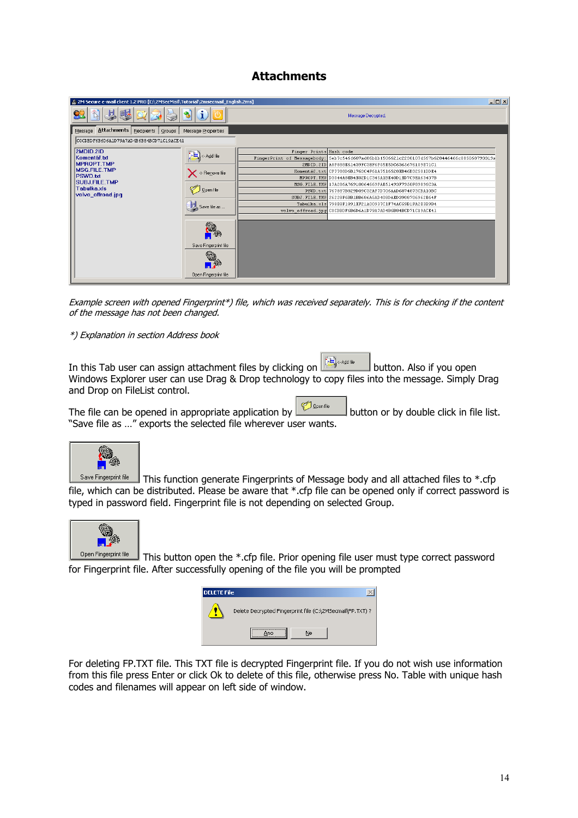## **Attachments**

| $\Box$ D $\Box$<br>24 2M Secure e-mail client 1.2 PRO [C:\2MSecMail\Tutorial\2msecmail_English.2ms] |                             |                         |                                                                                            |  |  |  |  |
|-----------------------------------------------------------------------------------------------------|-----------------------------|-------------------------|--------------------------------------------------------------------------------------------|--|--|--|--|
|                                                                                                     |                             |                         | Message Decrypted.                                                                         |  |  |  |  |
| Attachments   Recipients   Groups<br>Message                                                        | Message Properties          |                         |                                                                                            |  |  |  |  |
| COCDEDF6B6D6A1D79A7AD4B6B84BCD71C19ACE41                                                            |                             |                         |                                                                                            |  |  |  |  |
| 2MDID.2ID                                                                                           |                             | Finger Prints Hash code |                                                                                            |  |  |  |  |
| Komentář.txt                                                                                        | Add file<br>X > Remove file |                         | FingerPrint of Messagebody: Seb7c546f607ad86blbf506621c2230107d567b628446466c085068793319a |  |  |  |  |
| <b>MPROPT.TMP</b>                                                                                   |                             |                         | 2MDID.2ID A8F888E61439FC3EF6F05E5DC6365676109E71C1                                         |  |  |  |  |
| <b>MSG.FILE.TMP</b>                                                                                 |                             |                         | Komentář.txt CF7788D6B1763C4F61A7516528EB46B32501DDE4                                      |  |  |  |  |
| PSWD.bd                                                                                             |                             |                         | MPROPT. TMP D3044A8EB4E02D1C345A1BE40D1ED7C9EA63437B                                       |  |  |  |  |
| <b>SUBJ.FILE.TMP</b>                                                                                |                             |                         | MSG. FILE. TMP 17A286A76910064669FAE51493F7950F89896C3A                                    |  |  |  |  |
| Tabulka.xls                                                                                         | $\bigcirc$ Open file        |                         | PSWD.txt 767887B829D09C32AF7D706AAD6874873CBA10BC                                          |  |  |  |  |
| volvo_offroad.jpg                                                                                   |                             |                         | SUBJ.FILE.TMP 26228F6BB1BB686A5AD408DAED3908706962E64F                                     |  |  |  |  |
|                                                                                                     | Save file as                |                         | Tabulka.xls 798E8F1891EF21A00937C1F74AC59B1FA2E3B9B4                                       |  |  |  |  |
|                                                                                                     |                             |                         | volvo offroad.jpg COCDBDF6B6D6A1D79A7AD4B6B84BCD71C19ACE41                                 |  |  |  |  |
|                                                                                                     |                             |                         |                                                                                            |  |  |  |  |
|                                                                                                     | g.                          |                         |                                                                                            |  |  |  |  |
|                                                                                                     | Save Fingerprint file       |                         |                                                                                            |  |  |  |  |
|                                                                                                     |                             |                         |                                                                                            |  |  |  |  |
|                                                                                                     | Open Fingerprint file       |                         |                                                                                            |  |  |  |  |
|                                                                                                     |                             |                         |                                                                                            |  |  |  |  |

Example screen with opened Fingerprint\*) file, which was received separately. This is for checking if the content of the message has not been changed.

#### \*) Explanation in section Address book

In this Tab user can assign attachment files by clicking on  $\mathbb{E}$  sadille button. Also if you open Windows Explorer user can use Drag & Drop technology to copy files into the message. Simply Drag and Drop on FileList control.

The file can be opened in appropriate application by  $\Box$  button or by double click in file list. "Save file as …" exports the selected file wherever user wants.



Save Fingerprint file This function generate Fingerprints of Message body and all attached files to \*.cfp file, which can be distributed. Please be aware that \*.cfp file can be opened only if correct password is typed in password field. Fingerprint file is not depending on selected Group.



This button open the \*.cfp file. Prior opening file user must type correct password for Fingerprint file. After successfully opening of the file you will be prompted

| <b>DELETE File</b> |                                                           |
|--------------------|-----------------------------------------------------------|
|                    | Delete Decrypted Fingerprint file (C:\2MSecmail\FP.TXT) ? |
|                    | Ne                                                        |

For deleting FP.TXT file. This TXT file is decrypted Fingerprint file. If you do not wish use information from this file press Enter or click Ok to delete of this file, otherwise press No. Table with unique hash codes and filenames will appear on left side of window.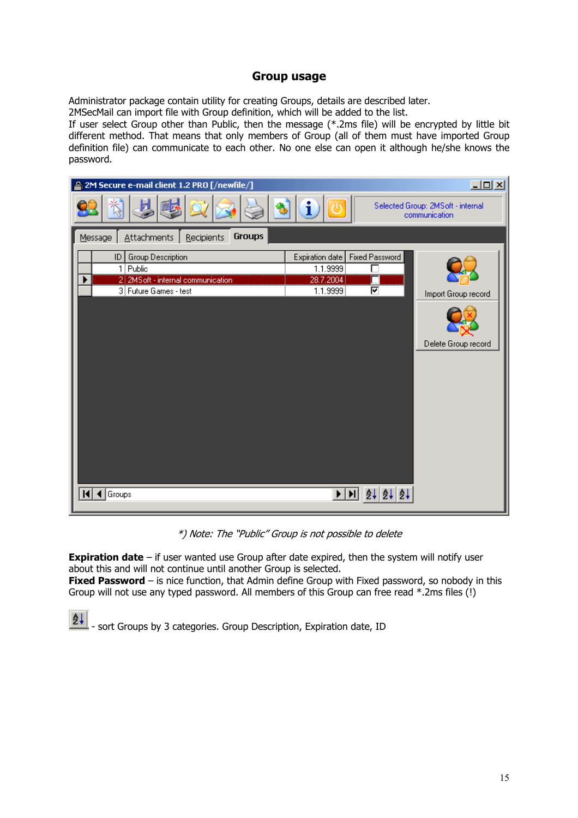#### **Group usage**

Administrator package contain utility for creating Groups, details are described later. 2MSecMail can import file with Group definition, which will be added to the list.

If user select Group other than Public, then the message (\*.2ms file) will be encrypted by little bit different method. That means that only members of Group (all of them must have imported Group definition file) can communicate to each other. No one else can open it although he/she knows the password.



\*) Note: The "Public" Group is not possible to delete

**Expiration date** – if user wanted use Group after date expired, then the system will notify user about this and will not continue until another Group is selected.

**Fixed Password** – is nice function, that Admin define Group with Fixed password, so nobody in this Group will not use any typed password. All members of this Group can free read \*.2ms files (!)

ê∔ - sort Groups by 3 categories. Group Description, Expiration date, ID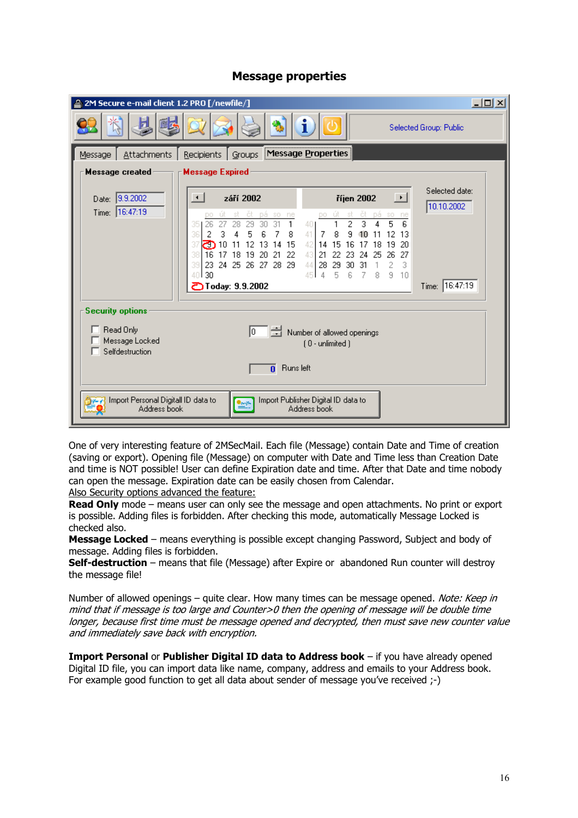|  | <b>Message properties</b> |
|--|---------------------------|
|--|---------------------------|

| 2 2M Secure e-mail client 1.2 PRO [/newfile/]                                                                        |                                                                                                                                                                                                                                                                                  |                                                                                                                                                                                                                                                                                             | <b>JOX</b>                   |  |  |
|----------------------------------------------------------------------------------------------------------------------|----------------------------------------------------------------------------------------------------------------------------------------------------------------------------------------------------------------------------------------------------------------------------------|---------------------------------------------------------------------------------------------------------------------------------------------------------------------------------------------------------------------------------------------------------------------------------------------|------------------------------|--|--|
|                                                                                                                      |                                                                                                                                                                                                                                                                                  |                                                                                                                                                                                                                                                                                             | Selected Group: Public       |  |  |
| <b>Attachments</b><br>Message                                                                                        | <b>Recipients</b><br>Groups                                                                                                                                                                                                                                                      | Message Properties                                                                                                                                                                                                                                                                          |                              |  |  |
| Message created                                                                                                      | <b>Message Expired</b>                                                                                                                                                                                                                                                           |                                                                                                                                                                                                                                                                                             |                              |  |  |
| Date: 9.9.2002                                                                                                       | září 2002<br>$\leftarrow$                                                                                                                                                                                                                                                        | ⊡<br>říjen 2002                                                                                                                                                                                                                                                                             | Selected date:<br>10.10.2002 |  |  |
| Time: 16:47:19                                                                                                       | ět<br>pá so<br>ne<br>DО<br>30 <sub>1</sub><br>$-31$<br>1<br>26<br>27<br>28<br>29<br>35<br>2<br>3<br>5<br>36<br>-6<br>8<br>4<br>7<br>12<br>13 14<br>15<br>37<br>10<br>11<br>උ<br>16<br>22<br>38<br>19<br>21<br>-17<br>18<br>-20<br>39<br>23 24 25 26 27<br>28<br>29<br>-30<br>40. | ět<br>pá.<br>SO.<br>3l<br>DO<br>ne<br>2<br>5<br>3<br>6<br>4<br>401<br>41<br>7<br>8<br>9<br>13<br>12<br>10<br>11<br>15<br>20<br>42 14<br>16<br>17<br>18<br>19<br>43<br>22<br>-21<br>27<br>23<br>24<br>25<br>26<br>3<br>28<br>29<br>44<br>-31<br>2<br>30<br>5<br>ĥ<br>45<br>4<br>8<br>9<br>10 |                              |  |  |
|                                                                                                                      | <b>D</b> Today: 9.9.2002                                                                                                                                                                                                                                                         |                                                                                                                                                                                                                                                                                             | Time: 16:47:19               |  |  |
| <b>Security options</b>                                                                                              |                                                                                                                                                                                                                                                                                  |                                                                                                                                                                                                                                                                                             |                              |  |  |
| Read Only<br>뤀<br>Number of allowed openings<br>10.<br>Message Locked<br>$[0 \cdot$ unlimited $]$<br>Selfdestruction |                                                                                                                                                                                                                                                                                  |                                                                                                                                                                                                                                                                                             |                              |  |  |
| <b>Runs</b> left<br>0                                                                                                |                                                                                                                                                                                                                                                                                  |                                                                                                                                                                                                                                                                                             |                              |  |  |
| Import Personal Digitall ID data to<br>Address book                                                                  | <b>Openin</b>                                                                                                                                                                                                                                                                    | Import Publisher Digital ID data to<br>Address book                                                                                                                                                                                                                                         |                              |  |  |

One of very interesting feature of 2MSecMail. Each file (Message) contain Date and Time of creation (saving or export). Opening file (Message) on computer with Date and Time less than Creation Date and time is NOT possible! User can define Expiration date and time. After that Date and time nobody can open the message. Expiration date can be easily chosen from Calendar.

Also Security options advanced the feature:

**Read Only** mode – means user can only see the message and open attachments. No print or export is possible. Adding files is forbidden. After checking this mode, automatically Message Locked is checked also.

**Message Locked** – means everything is possible except changing Password, Subject and body of message. Adding files is forbidden.

**Self-destruction** – means that file (Message) after Expire or abandoned Run counter will destroy the message file!

Number of allowed openings – quite clear. How many times can be message opened. Note: Keep in mind that if message is too large and Counter>0 then the opening of message will be double time longer, because first time must be message opened and decrypted, then must save new counter value and immediately save back with encryption.

**Import Personal** or **Publisher Digital ID data to Address book** – if you have already opened Digital ID file, you can import data like name, company, address and emails to your Address book. For example good function to get all data about sender of message you've received ;-)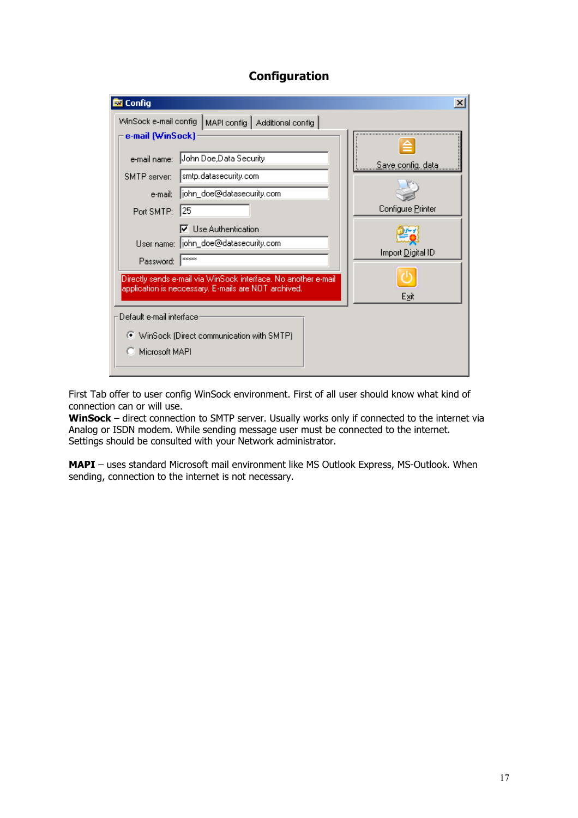## **Configuration**



First Tab offer to user config WinSock environment. First of all user should know what kind of connection can or will use.

**WinSock** – direct connection to SMTP server. Usually works only if connected to the internet via Analog or ISDN modem. While sending message user must be connected to the internet. Settings should be consulted with your Network administrator.

**MAPI** – uses standard Microsoft mail environment like MS Outlook Express, MS-Outlook. When sending, connection to the internet is not necessary.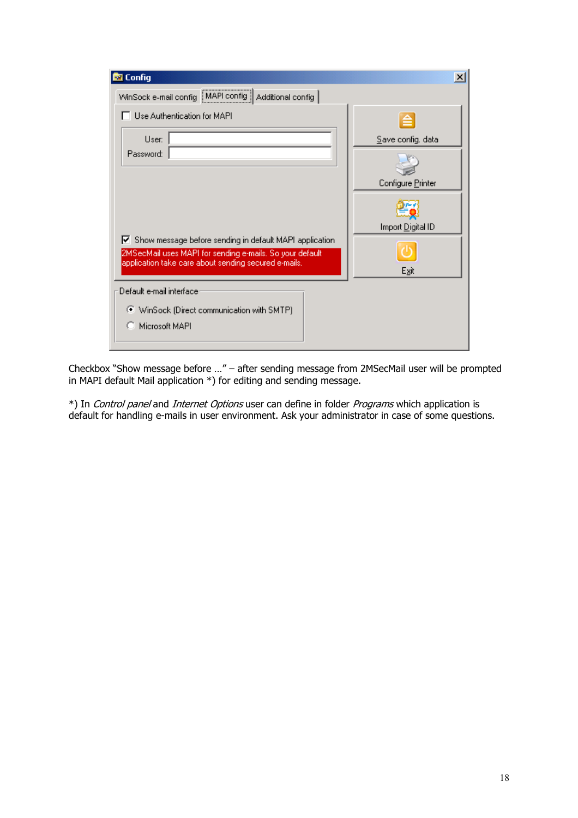| <b>M</b> Config                                                                                                                                                                   | $\vert x \vert$   |
|-----------------------------------------------------------------------------------------------------------------------------------------------------------------------------------|-------------------|
| WinSock e-mail config   MAPI config  <br>Additional config                                                                                                                        |                   |
| Use Authentication for MAPI                                                                                                                                                       | ≘                 |
| User:                                                                                                                                                                             | Save config. data |
| Password:                                                                                                                                                                         |                   |
|                                                                                                                                                                                   | Configure Printer |
|                                                                                                                                                                                   |                   |
|                                                                                                                                                                                   | Import Digital ID |
| Show message before sending in default MAPI application<br>v.<br>2MSecMail uses MAPI for sending e-mails. So your default<br>application take care about sending secured e-mails. |                   |
|                                                                                                                                                                                   | Exit              |
| Default e-mail interface                                                                                                                                                          |                   |
| ● WinSock (Direct communication with SMTP)                                                                                                                                        |                   |
| Microsoft MAPI                                                                                                                                                                    |                   |
|                                                                                                                                                                                   |                   |

Checkbox "Show message before …" – after sending message from 2MSecMail user will be prompted in MAPI default Mail application \*) for editing and sending message.

\*) In *Control panel* and *Internet Options* user can define in folder *Programs* which application is default for handling e-mails in user environment. Ask your administrator in case of some questions.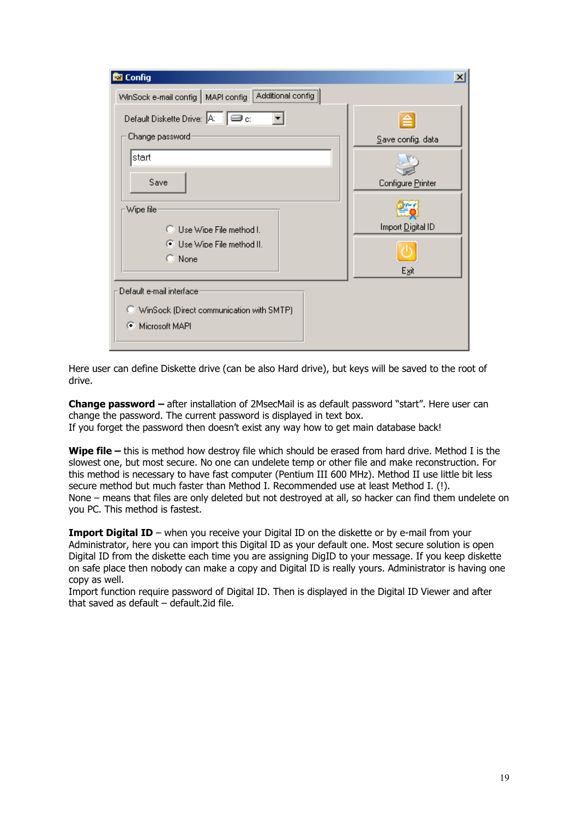| <b>x</b> Config                                     | $\vert x \vert$   |
|-----------------------------------------------------|-------------------|
| WinSock e-mail config MAPI config Additional config |                   |
| Default Diskette Drive: A: $\square$ c:             | ≙                 |
| Change password:                                    | Save config. data |
| start                                               |                   |
| Save                                                | Configure Printer |
| Wipe file                                           |                   |
| ◯ Use Wipe File method I.                           | Import Digital ID |
| ● Use Wipe File method II.<br>$\bigcirc$ None       |                   |
|                                                     | Exit              |
| Default e-mail interface                            |                   |
| WinSock (Direct communication with SMTP)            |                   |
| Microsoft MAPI<br>o                                 |                   |
|                                                     |                   |

Here user can define Diskette drive (can be also Hard drive), but keys will be saved to the root of drive.

**Change password –** after installation of 2MsecMail is as default password "start". Here user can change the password. The current password is displayed in text box. If you forget the password then doesn't exist any way how to get main database back!

**Wipe file –** this is method how destroy file which should be erased from hard drive. Method I is the slowest one, but most secure. No one can undelete temp or other file and make reconstruction. For this method is necessary to have fast computer (Pentium III 600 MHz). Method II use little bit less secure method but much faster than Method I. Recommended use at least Method I. (!). None – means that files are only deleted but not destroyed at all, so hacker can find them undelete on you PC. This method is fastest.

**Import Digital ID** – when you receive your Digital ID on the diskette or by e-mail from your Administrator, here you can import this Digital ID as your default one. Most secure solution is open Digital ID from the diskette each time you are assigning DigID to your message. If you keep diskette on safe place then nobody can make a copy and Digital ID is really yours. Administrator is having one copy as well.

Import function require password of Digital ID. Then is displayed in the Digital ID Viewer and after that saved as default – default.2id file.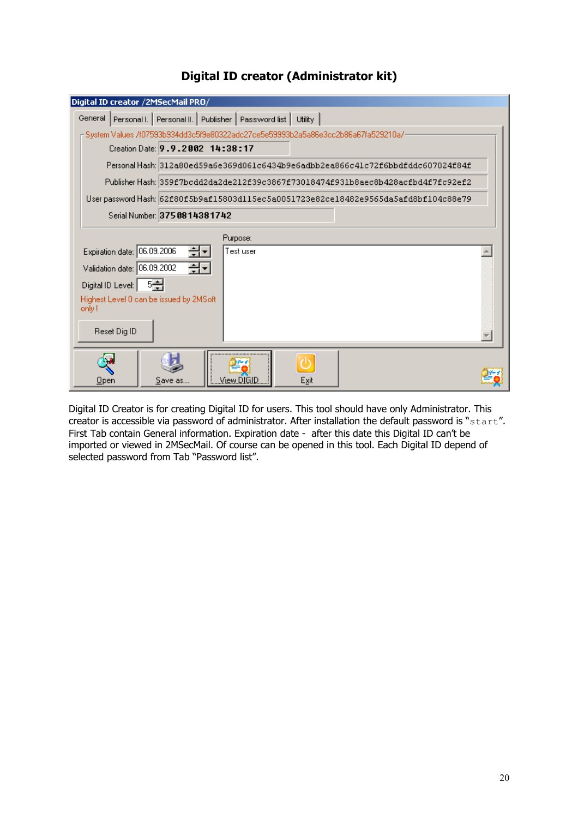|                             | Digital ID creator /2MSecMail PRO/       |                                                                                   |         |                                                                                     |  |
|-----------------------------|------------------------------------------|-----------------------------------------------------------------------------------|---------|-------------------------------------------------------------------------------------|--|
| General                     |                                          | Personal I.   Personal II.   Publisher   Password list                            | Utility |                                                                                     |  |
|                             |                                          | System Values /f07593b934dd3c5f9e80322adc27ce5e59993b2a5a86e3cc2b86a67fa529210a/- |         |                                                                                     |  |
|                             | Creation Date: 9.9.2002 14:38:17         |                                                                                   |         |                                                                                     |  |
|                             |                                          |                                                                                   |         | Personal Hash: 312a80ed59a6e369d061c6434b9e6adbb2ea866c41c72f6bbdfddc607024f84f     |  |
|                             |                                          |                                                                                   |         | Publisher Hash: 359f7bcdd2da2de212f39c3867f73018474f931b8aec8b428acfbd4f7fc92ef2    |  |
|                             |                                          |                                                                                   |         | Userpassword Hash: 62f80f5b9af15803d115ec5a0051723e82ce18482e9565da5afd8bf104c88e79 |  |
|                             | Serial Number: 375 0814381742            |                                                                                   |         |                                                                                     |  |
|                             |                                          | Purpose:                                                                          |         |                                                                                     |  |
| Expiration date: 06.09.2006 | 쉬키                                       | Test user                                                                         |         |                                                                                     |  |
| Validation date: 06.09.2002 | 쉬키                                       |                                                                                   |         |                                                                                     |  |
| Digital ID Level: 5-월       |                                          |                                                                                   |         |                                                                                     |  |
|                             | Highest Level 0 can be issued by 2MSoft. |                                                                                   |         |                                                                                     |  |
| only!                       |                                          |                                                                                   |         |                                                                                     |  |
| Reset Dig ID                |                                          |                                                                                   |         |                                                                                     |  |
|                             |                                          |                                                                                   |         |                                                                                     |  |
|                             |                                          |                                                                                   |         |                                                                                     |  |
| <b>Upen</b>                 | Save as                                  | View DIGID.                                                                       | Exit    |                                                                                     |  |

# **Digital ID creator (Administrator kit)**

Digital ID Creator is for creating Digital ID for users. This tool should have only Administrator. This creator is accessible via password of administrator. After installation the default password is "start". First Tab contain General information. Expiration date - after this date this Digital ID can't be imported or viewed in 2MSecMail. Of course can be opened in this tool. Each Digital ID depend of selected password from Tab "Password list".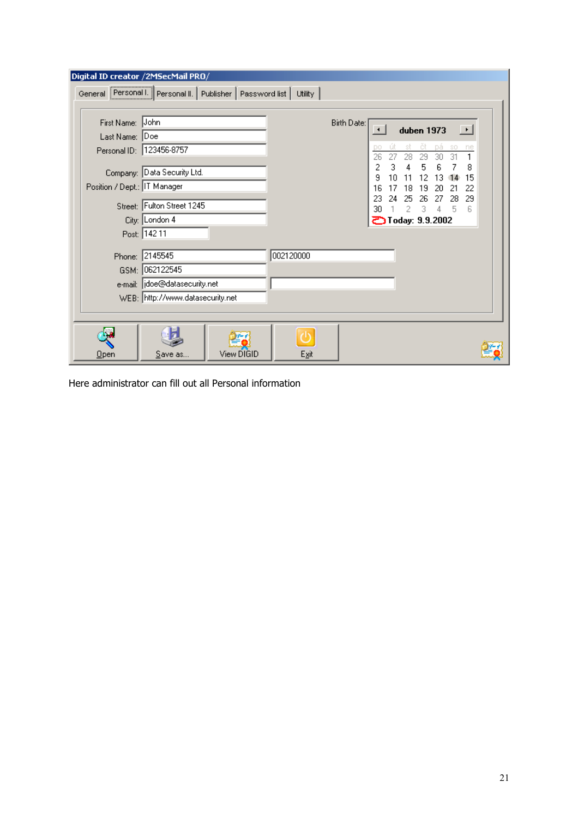| Digital ID creator /2MSecMail PRO/                                 | General Personal I. Personal II. Publisher Password list                                                                |            | Utility   |             |                                                                                                                                  |                                                                                                                                  |                                                            |
|--------------------------------------------------------------------|-------------------------------------------------------------------------------------------------------------------------|------------|-----------|-------------|----------------------------------------------------------------------------------------------------------------------------------|----------------------------------------------------------------------------------------------------------------------------------|------------------------------------------------------------|
| First Name: John<br>Last Name: Doe<br>Position / Dept.: IT Manager | Personal ID: 123456-8757<br>Company: Data Security Ltd.<br>Street: Fulton Street 1245<br>City: London 4<br>Post: 142 11 |            |           | Birth Date: | st<br>DO<br>26<br>27<br>28<br>2<br>3<br>9<br>10<br>11<br>16<br>18<br>17<br>23<br>25<br>24<br>30<br>2<br><b>D</b> Today: 9.9.2002 | duben 1973<br>ět<br>Dá.<br>\$O<br>31<br>30<br>29<br>5<br>6<br>12<br>13<br>14<br>19<br>20<br>-21<br>26<br>27<br>28<br>3<br>4<br>5 | $\overline{\phantom{a}}$<br>ne<br>8<br>15<br>22<br>29<br>6 |
|                                                                    | Phone: 2145545<br>GSM: 062122545<br>e-mail:   idoe@datasecurity.net<br>WEB: http://www.datasecurity.net                 |            | 002120000 |             |                                                                                                                                  |                                                                                                                                  |                                                            |
| <u>Open</u>                                                        | Save as                                                                                                                 | View DIGID | Exit      |             |                                                                                                                                  |                                                                                                                                  |                                                            |

Here administrator can fill out all Personal information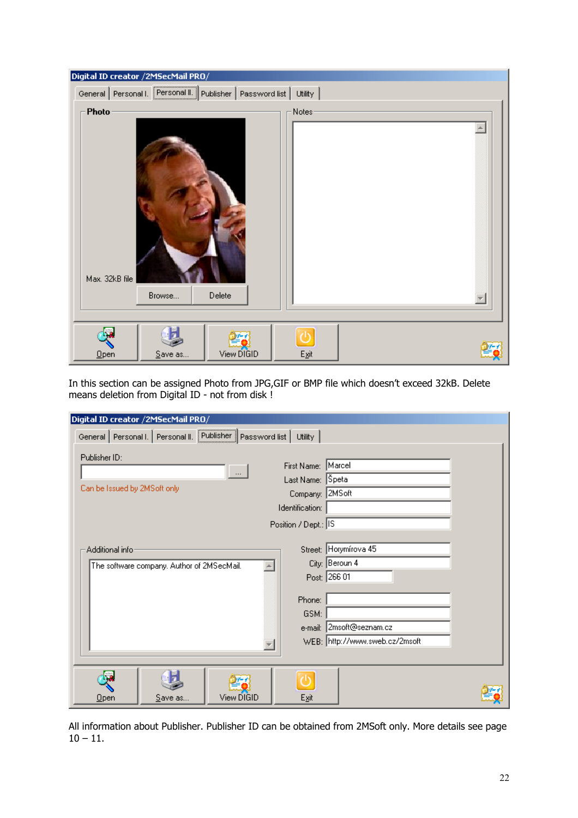| Digital ID creator /2MSecMail PRO/         |         |               |                        |  |
|--------------------------------------------|---------|---------------|------------------------|--|
| General Personal I. Personal II. Publisher |         | Password list | Utility                |  |
| Photo<br>Max. 32kB file                    | Browse  | Delete        | Notes-                 |  |
| Qpen                                       | Save as | View DIGID    | $E_{\underline{x}}$ it |  |

In this section can be assigned Photo from JPG,GIF or BMP file which doesn't exceed 32kB. Delete means deletion from Digital ID - not from disk !

| Digital ID creator /2MSecMail PRO/ |                                            |                                                          |                      |                                |  |
|------------------------------------|--------------------------------------------|----------------------------------------------------------|----------------------|--------------------------------|--|
|                                    |                                            | General Personal I. Personal II. Publisher Password list | Utility              |                                |  |
| Publisher ID:                      |                                            |                                                          |                      |                                |  |
|                                    |                                            |                                                          | First Name: Marcel   |                                |  |
|                                    |                                            | $\ldots$                                                 | Last Name: Speta     |                                |  |
|                                    | Can be Issued by 2MSoft only               |                                                          |                      | Company: 2MSoft                |  |
|                                    |                                            |                                                          | Identification:      |                                |  |
|                                    |                                            |                                                          | Position / Dept.: IS |                                |  |
|                                    |                                            |                                                          |                      |                                |  |
|                                    | Additional infor                           |                                                          |                      | Street: Horymírova 45          |  |
|                                    | The software company. Author of 2MSecMail. |                                                          |                      | City: Beroun 4                 |  |
|                                    |                                            |                                                          |                      | Post: 266 01                   |  |
|                                    |                                            |                                                          | Phone:               |                                |  |
|                                    |                                            |                                                          | GSM:                 |                                |  |
|                                    |                                            |                                                          |                      | e-mail: 2msoft@seznam.cz       |  |
|                                    |                                            |                                                          |                      | WEB: http://www.sweb.cz/2msoft |  |
|                                    |                                            |                                                          |                      |                                |  |
|                                    |                                            |                                                          |                      |                                |  |
|                                    |                                            |                                                          |                      |                                |  |
| $Q$ pen                            | Save as                                    | View DIGID                                               | Exit                 |                                |  |

All information about Publisher. Publisher ID can be obtained from 2MSoft only. More details see page  $10 - 11.$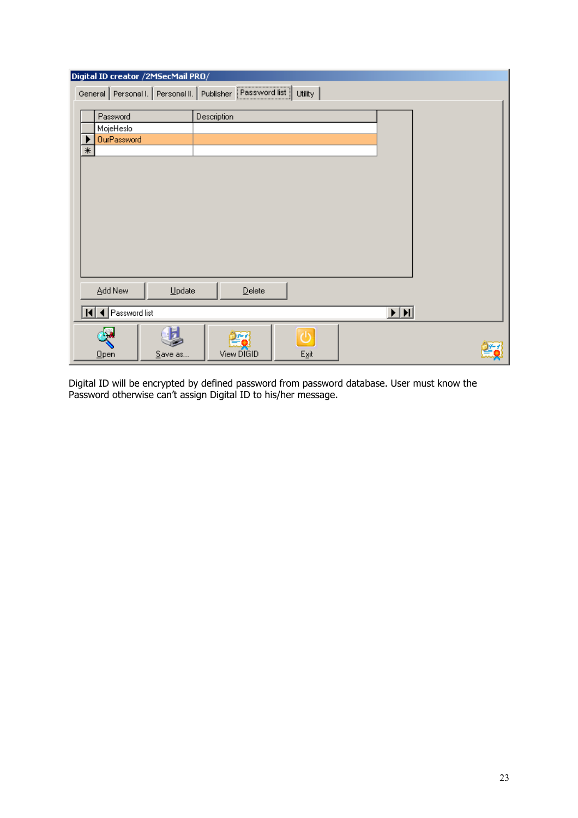|        | Digital ID creator /2M5ecMail PRO/                       |          |             |        |                        |                         |  |
|--------|----------------------------------------------------------|----------|-------------|--------|------------------------|-------------------------|--|
|        | General Personal I. Personal II. Publisher Password list |          |             |        | <b>Utility</b>         |                         |  |
|        |                                                          |          |             |        |                        |                         |  |
|        | Password                                                 |          | Description |        |                        |                         |  |
|        | MojeHeslo                                                |          |             |        |                        |                         |  |
|        | OurPassword                                              |          |             |        |                        |                         |  |
| $\ast$ |                                                          |          |             |        |                        |                         |  |
|        |                                                          |          |             |        |                        |                         |  |
|        |                                                          |          |             |        |                        |                         |  |
|        |                                                          |          |             |        |                        |                         |  |
|        |                                                          |          |             |        |                        |                         |  |
|        |                                                          |          |             |        |                        |                         |  |
|        |                                                          |          |             |        |                        |                         |  |
|        |                                                          |          |             |        |                        |                         |  |
|        |                                                          |          |             |        |                        |                         |  |
|        |                                                          |          |             |        |                        |                         |  |
|        |                                                          |          |             |        |                        |                         |  |
|        | Add New                                                  | $Update$ |             | Delete |                        |                         |  |
|        |                                                          |          |             |        |                        |                         |  |
|        | II   Password list                                       |          |             |        |                        | $\overline{\mathbf{H}}$ |  |
|        |                                                          |          |             |        |                        |                         |  |
|        |                                                          |          |             |        | (l)                    |                         |  |
|        | Qpen                                                     | Save as  | View DIGID  |        | $E_{\underline{x}}$ it |                         |  |

Digital ID will be encrypted by defined password from password database. User must know the Password otherwise can't assign Digital ID to his/her message.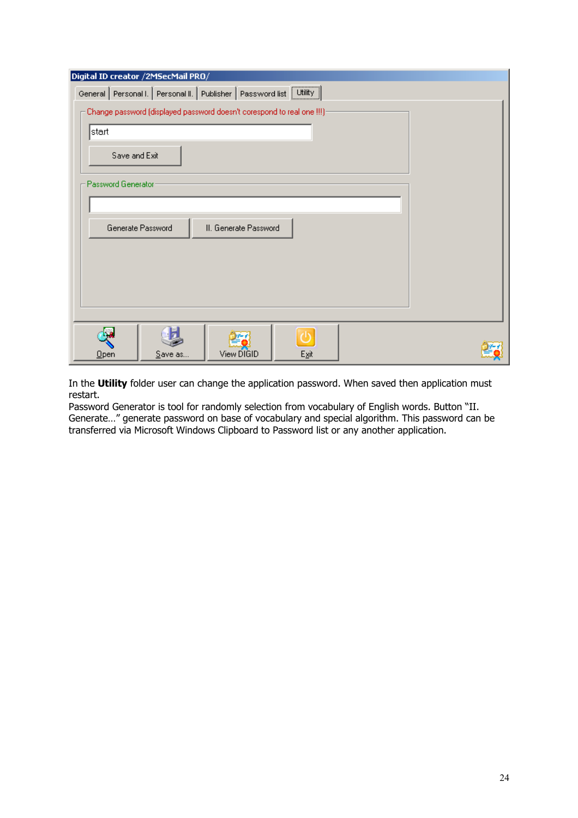| Digital ID creator /2M5ecMail PRO/                                      |  |  |  |
|-------------------------------------------------------------------------|--|--|--|
| General Personal I. Personal II. Publisher Password list Utility        |  |  |  |
| Change password (displayed password doesn't corespond to real one !!!)- |  |  |  |
| start                                                                   |  |  |  |
| Save and Exit                                                           |  |  |  |
| Password Generator:                                                     |  |  |  |
|                                                                         |  |  |  |
| Generate Password<br>II. Generate Password                              |  |  |  |
|                                                                         |  |  |  |
|                                                                         |  |  |  |
|                                                                         |  |  |  |
|                                                                         |  |  |  |
| ъ                                                                       |  |  |  |
| View DIGID<br>Egit<br>Save as<br>Qpen                                   |  |  |  |

In the **Utility** folder user can change the application password. When saved then application must restart.

Password Generator is tool for randomly selection from vocabulary of English words. Button "II. Generate…" generate password on base of vocabulary and special algorithm. This password can be transferred via Microsoft Windows Clipboard to Password list or any another application.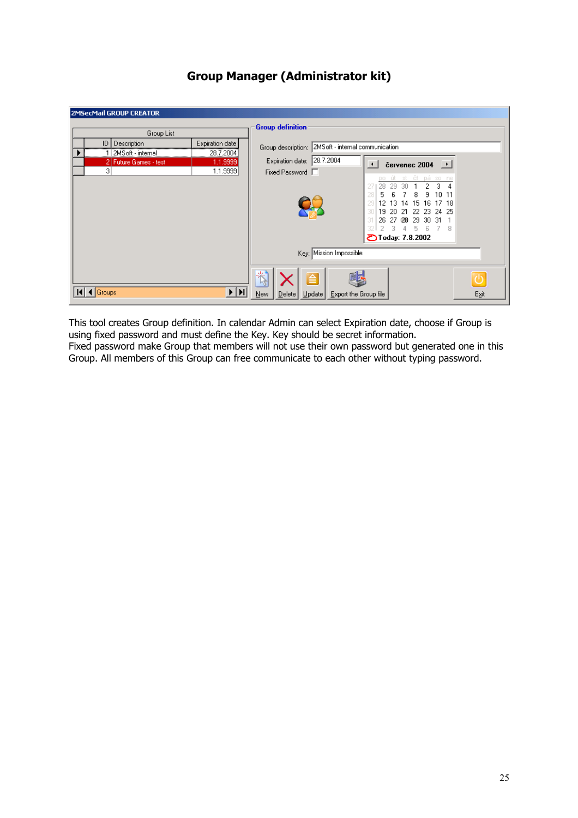| 2MSecMail GROUP CREATOR                                                                                                                            |                                                                                                                                                                                                                                                                                                                                                                                                                                                                        |
|----------------------------------------------------------------------------------------------------------------------------------------------------|------------------------------------------------------------------------------------------------------------------------------------------------------------------------------------------------------------------------------------------------------------------------------------------------------------------------------------------------------------------------------------------------------------------------------------------------------------------------|
| Group List<br>Expiration date<br><b>Description</b><br> D <br>28.7.2004<br>2MSoft - internal<br>1.1.9999<br>2 Future Games - test<br>3<br>1.1.9999 | <b>Group definition</b><br>2MS oft - internal communication<br>Group description:<br>28.7.2004<br>Expiration date:<br>$\text{c}}$ cervenec 2004<br>$\left  \cdot \right $<br>Fixed Password  <br>st čt pá so ne<br>po út<br>з<br>2<br>29<br>30<br>8<br>1011<br>5<br>9<br>ĥ<br>12<br>29<br>-15<br>-16<br>17 18<br>13.<br>14<br>19<br>22 23<br>-21<br>24 25<br>-20<br>26<br>-29<br>-31<br>27<br>-28<br>-30<br>5.<br>-6.<br>3<br>-7<br>-8<br>4<br><b>ごToday: 7.8.2002</b> |
|                                                                                                                                                    | Key: Mission Impossible                                                                                                                                                                                                                                                                                                                                                                                                                                                |
| $\blacktriangleright$ $\mid$ $\blacktriangleright$ $\mid$<br>$\triangleleft$ Groups                                                                | 术<br>Exit<br>Export the Group file<br><b>New</b><br>Delta<br>Update                                                                                                                                                                                                                                                                                                                                                                                                    |

# **Group Manager (Administrator kit)**

This tool creates Group definition. In calendar Admin can select Expiration date, choose if Group is using fixed password and must define the Key. Key should be secret information. Fixed password make Group that members will not use their own password but generated one in this Group. All members of this Group can free communicate to each other without typing password.